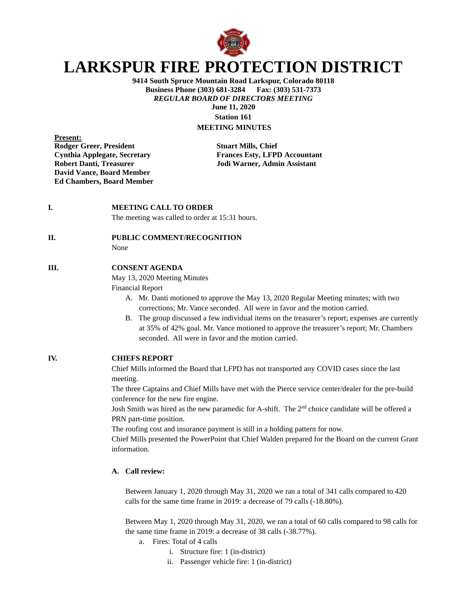

# **LARKSPUR FIRE PROTECTION DISTRICT**

**9414 South Spruce Mountain Road Larkspur, Colorado 80118 Business Phone (303) 681-3284** *REGULAR BOARD OF DIRECTORS MEETING* **June 11, 2020 Station 161**

## **MEETING MINUTES**

**Present: Rodger Greer, President Stuart Mills, Chief Robert Danti, Treasurer Jodi Warner, Admin Assistant David Vance, Board Member Ed Chambers, Board Member**

**Cynthia Applegate, Secretary Frances Esty, LFPD Accountant**

#### **I. MEETING CALL TO ORDER**

The meeting was called to order at 15:31 hours.

#### **II. PUBLIC COMMENT/RECOGNITION**

None

### **III. CONSENT AGENDA**

May 13, 2020 Meeting Minutes

Financial Report

- A. Mr. Danti motioned to approve the May 13, 2020 Regular Meeting minutes; with two corrections; Mr. Vance seconded. All were in favor and the motion carried.
- B. The group discussed a few individual items on the treasurer's report; expenses are currently at 35% of 42% goal. Mr. Vance motioned to approve the treasurer's report; Mr. Chambers seconded. All were in favor and the motion carried.

**IV. CHIEFS REPORT**

Chief Mills informed the Board that LFPD has not transported any COVID cases since the last meeting.

The three Captains and Chief Mills have met with the Pierce service center/dealer for the pre-build conference for the new fire engine.

Josh Smith was hired as the new paramedic for A-shift. The  $2<sup>nd</sup>$  choice candidate will be offered a PRN part-time position.

The roofing cost and insurance payment is still in a holding pattern for now.

Chief Mills presented the PowerPoint that Chief Walden prepared for the Board on the current Grant information.

#### **A. Call review:**

Between January 1, 2020 through May 31, 2020 we ran a total of 341 calls compared to 420 calls for the same time frame in 2019: a decrease of 79 calls (-18.80%).

Between May 1, 2020 through May 31, 2020, we ran a total of 60 calls compared to 98 calls for the same time frame in 2019: a decrease of 38 calls (-38.77%).

- a. Fires: Total of 4 calls
	- i. Structure fire: 1 (in-district)
	- ii. Passenger vehicle fire: 1 (in-district)